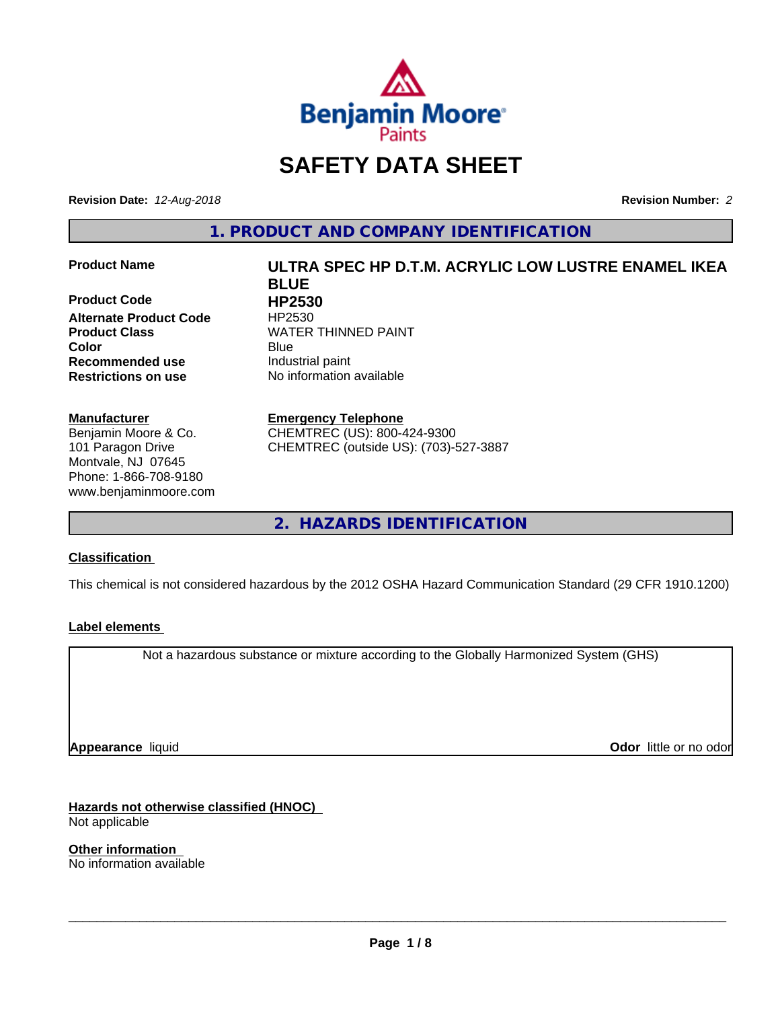

# **SAFETY DATA SHEET**

**Revision Date:** *12-Aug-2018* **Revision Number:** *2*

**1. PRODUCT AND COMPANY IDENTIFICATION**

**Product Code HP2530 Alternate Product Code** HP2530 **Recommended use** Industrial paint **Restrictions on use** No information available

### **Manufacturer**

Benjamin Moore & Co. 101 Paragon Drive Montvale, NJ 07645 Phone: 1-866-708-9180 www.benjaminmoore.com

# **Product Name ULTRA SPEC HP D.T.M. ACRYLIC LOW LUSTRE ENAMEL IKEA BLUE Product Class WATER THINNED PAINT Color** Blue Blue

### **Emergency Telephone**

CHEMTREC (US): 800-424-9300 CHEMTREC (outside US): (703)-527-3887

**2. HAZARDS IDENTIFICATION**

# **Classification**

This chemical is not considered hazardous by the 2012 OSHA Hazard Communication Standard (29 CFR 1910.1200)

# **Label elements**

Not a hazardous substance or mixture according to the Globally Harmonized System (GHS)

**Appearance** liquid

**Odor** little or no odor

**Hazards not otherwise classified (HNOC)** Not applicable

**Other information** No information available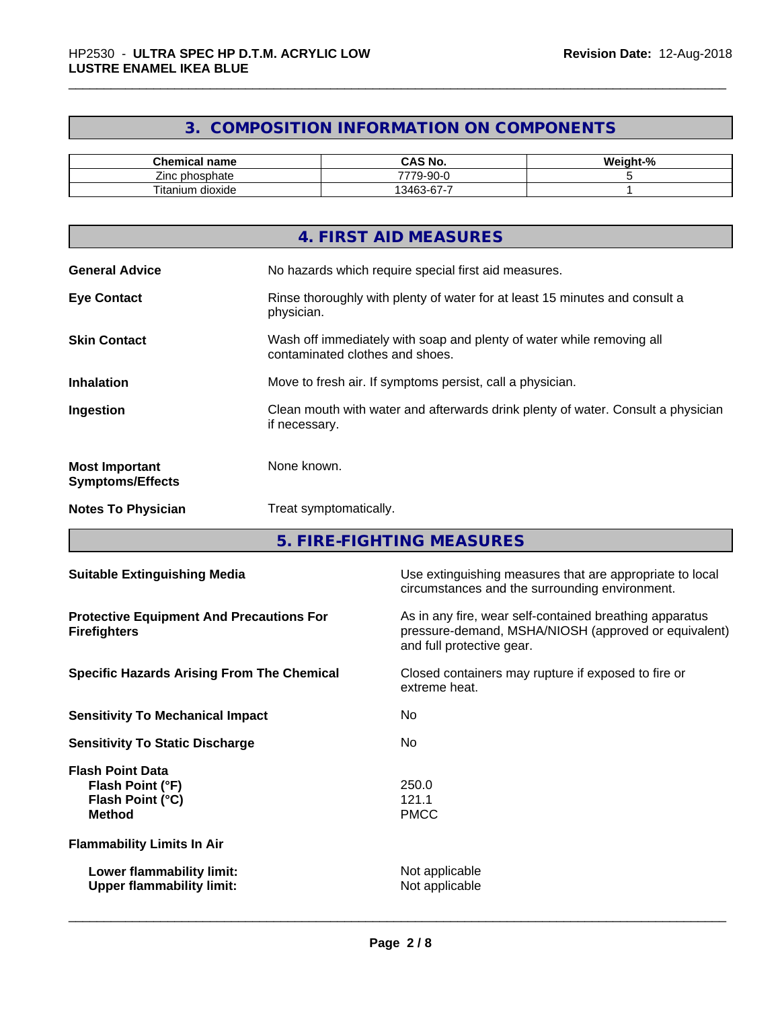# **3. COMPOSITION INFORMATION ON COMPONENTS**

| Chemical<br>name                     | $\sim$ 11<br>∽^<br>CAS No.           | ---<br>$\sim$<br>'eiaht<br>- 70 |
|--------------------------------------|--------------------------------------|---------------------------------|
| -<br>phosphate<br>Zinc 1             | nn.<br>フフフハ<br>ъ.<br>່ 9-90<br>л.    |                                 |
| Titaniu.<br>$\sim$<br>dioxide<br>um, | $\sim$<br>--<br>$1346^{\circ}$<br>ັັ |                                 |

|                                                  | 4. FIRST AID MEASURES                                                                                    |
|--------------------------------------------------|----------------------------------------------------------------------------------------------------------|
| <b>General Advice</b>                            | No hazards which require special first aid measures.                                                     |
| <b>Eye Contact</b>                               | Rinse thoroughly with plenty of water for at least 15 minutes and consult a<br>physician.                |
| <b>Skin Contact</b>                              | Wash off immediately with soap and plenty of water while removing all<br>contaminated clothes and shoes. |
| <b>Inhalation</b>                                | Move to fresh air. If symptoms persist, call a physician.                                                |
| Ingestion                                        | Clean mouth with water and afterwards drink plenty of water. Consult a physician<br>if necessary.        |
| <b>Most Important</b><br><b>Symptoms/Effects</b> | None known.                                                                                              |
| <b>Notes To Physician</b>                        | Treat symptomatically.                                                                                   |

**5. FIRE-FIGHTING MEASURES**

| <b>Suitable Extinguishing Media</b>                                              | Use extinguishing measures that are appropriate to local<br>circumstances and the surrounding environment.                                   |
|----------------------------------------------------------------------------------|----------------------------------------------------------------------------------------------------------------------------------------------|
| <b>Protective Equipment And Precautions For</b><br><b>Firefighters</b>           | As in any fire, wear self-contained breathing apparatus<br>pressure-demand, MSHA/NIOSH (approved or equivalent)<br>and full protective gear. |
| <b>Specific Hazards Arising From The Chemical</b>                                | Closed containers may rupture if exposed to fire or<br>extreme heat.                                                                         |
| <b>Sensitivity To Mechanical Impact</b>                                          | No.                                                                                                                                          |
| <b>Sensitivity To Static Discharge</b>                                           | No.                                                                                                                                          |
| <b>Flash Point Data</b><br>Flash Point (°F)<br>Flash Point (°C)<br><b>Method</b> | 250.0<br>121.1<br><b>PMCC</b>                                                                                                                |
| <b>Flammability Limits In Air</b>                                                |                                                                                                                                              |
| Lower flammability limit:<br><b>Upper flammability limit:</b>                    | Not applicable<br>Not applicable                                                                                                             |
|                                                                                  |                                                                                                                                              |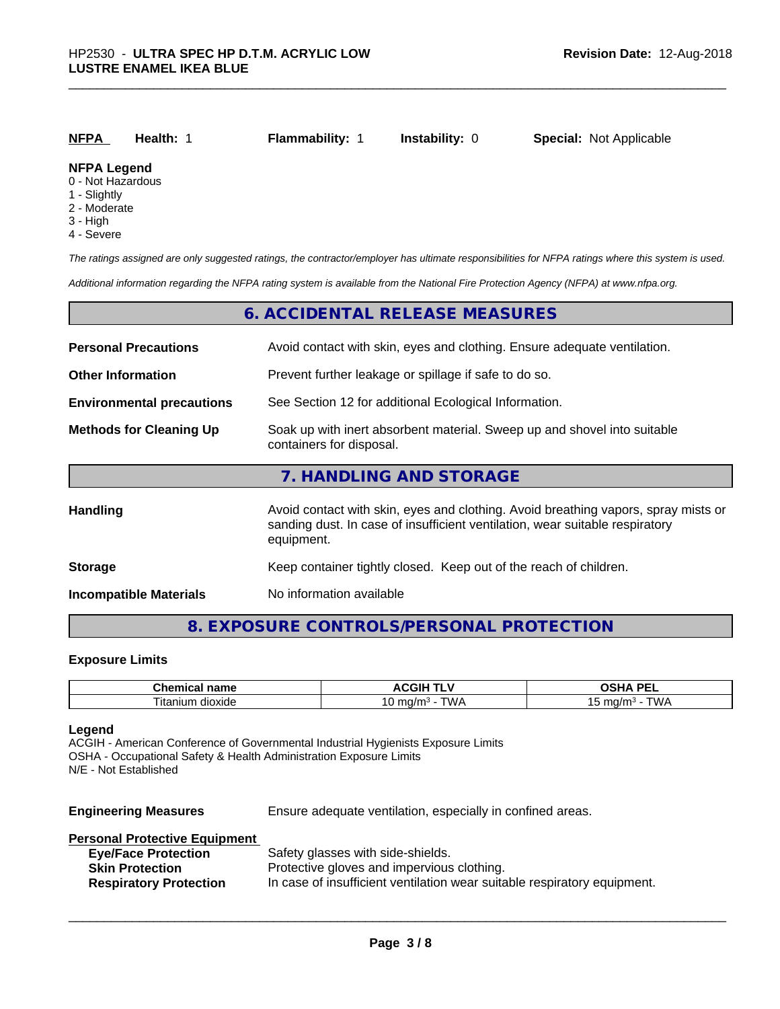| NFPA                                    | Health: | <b>Flammability: 1</b> | <b>Instability: 0</b> | <b>Special: Not Applicable</b> |  |
|-----------------------------------------|---------|------------------------|-----------------------|--------------------------------|--|
| <b>NFPA Legend</b><br>0 - Not Hazardous |         |                        |                       |                                |  |

- 1 Slightly
- 2 Moderate
- 
- 3 High
- 4 Severe

*The ratings assigned are only suggested ratings, the contractor/employer has ultimate responsibilities for NFPA ratings where this system is used.*

*Additional information regarding the NFPA rating system is available from the National Fire Protection Agency (NFPA) at www.nfpa.org.*

|                                  | 6. ACCIDENTAL RELEASE MEASURES                                                                                                                                                   |
|----------------------------------|----------------------------------------------------------------------------------------------------------------------------------------------------------------------------------|
| <b>Personal Precautions</b>      | Avoid contact with skin, eyes and clothing. Ensure adequate ventilation.                                                                                                         |
| <b>Other Information</b>         | Prevent further leakage or spillage if safe to do so.                                                                                                                            |
| <b>Environmental precautions</b> | See Section 12 for additional Ecological Information.                                                                                                                            |
| <b>Methods for Cleaning Up</b>   | Soak up with inert absorbent material. Sweep up and shovel into suitable<br>containers for disposal.                                                                             |
|                                  | 7. HANDLING AND STORAGE                                                                                                                                                          |
| <b>Handling</b>                  | Avoid contact with skin, eyes and clothing. Avoid breathing vapors, spray mists or<br>sanding dust. In case of insufficient ventilation, wear suitable respiratory<br>equipment. |
| <b>Storage</b>                   | Keep container tightly closed. Keep out of the reach of children.                                                                                                                |
| <b>Incompatible Materials</b>    | No information available                                                                                                                                                         |

# **8. EXPOSURE CONTROLS/PERSONAL PROTECTION**

## **Exposure Limits**

| Chemical name            | <b>ACGIH T'</b>                   | <b>DE</b><br>n<br>$\blacksquare$<br>-- |
|--------------------------|-----------------------------------|----------------------------------------|
| --<br>dioxide<br>ıtanıum | "WA<br>$m \alpha/m$<br>، اسا<br>v | T111<br>malm-<br>ונטו<br>.             |

#### **Legend**

ACGIH - American Conference of Governmental Industrial Hygienists Exposure Limits OSHA - Occupational Safety & Health Administration Exposure Limits N/E - Not Established

| <b>Engineering Measures</b> | Ensure adequate ventilation, especially in confined areas. |  |
|-----------------------------|------------------------------------------------------------|--|
|-----------------------------|------------------------------------------------------------|--|

|  | <b>Personal Protective Equipment</b> |  |  |  |
|--|--------------------------------------|--|--|--|
|  |                                      |  |  |  |

| <b>Eye/Face Protection</b>    | Safety glasses with side-shields.                                        |
|-------------------------------|--------------------------------------------------------------------------|
| <b>Skin Protection</b>        | Protective gloves and impervious clothing.                               |
| <b>Respiratory Protection</b> | In case of insufficient ventilation wear suitable respiratory equipment. |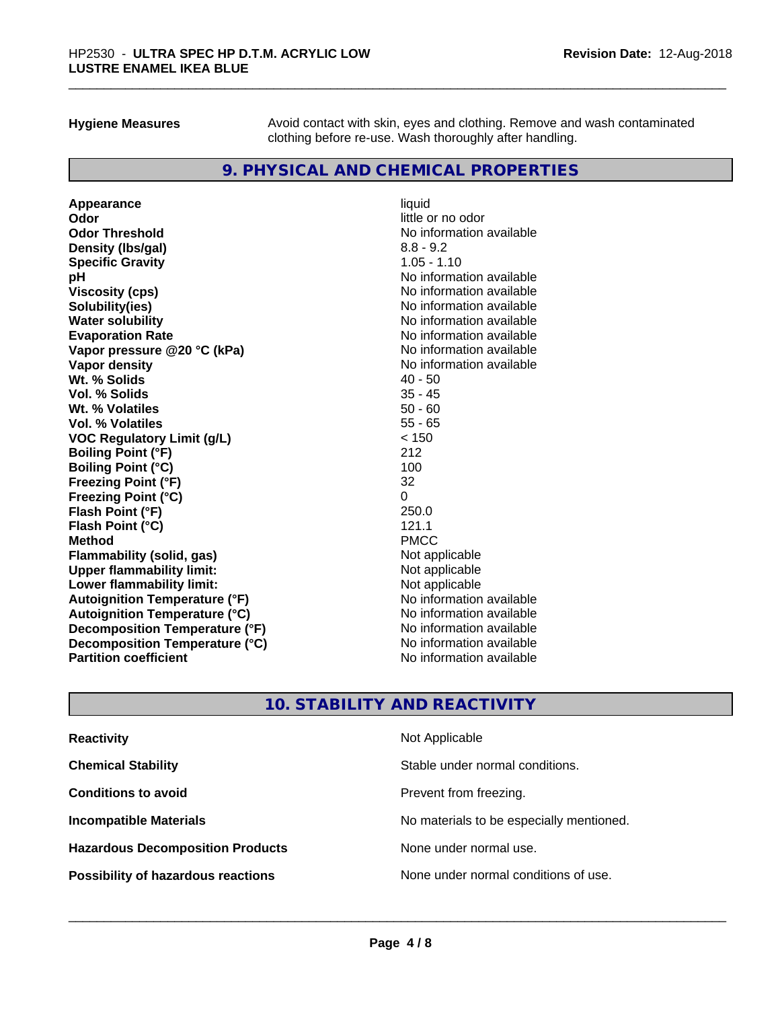**Hygiene Measures** Avoid contact with skin, eyes and clothing. Remove and wash contaminated clothing before re-use. Wash thoroughly after handling.

# **9. PHYSICAL AND CHEMICAL PROPERTIES**

**Appearance** liquid **Odor** little or no odor **Odor Threshold**<br> **Density (Ibs/gal)**<br> **Density (Ibs/gal)**<br>
2.8 - 9.2 **Density (lbs/gal)** 8.8 - 9.2<br> **Specific Gravity** 8.8 - 1.10 **Specific Gravity pH** No information available **Viscosity (cps)** No information available in the Viscosity (cps) **Solubility(ies)** No information available **Water solubility Mater Solubility**<br> **Evaporation Rate** Mate No information available **Vapor pressure @20 °C (kPa)** No information available **Vapor density Vapor density No information available Wt. % Solids** 40 - 50 **Vol. % Solids** 35 - 45 **Wt. % Volatiles Vol. % Volatiles** 55 - 65 **VOC Regulatory Limit (g/L)** < 150 **Boiling Point (°F)** 212 **Boiling Point (°C)** 100 **Freezing Point (°F)** 32 **Freezing Point (°C)** 0 **Flash Point (°F)** 250.0 **Flash Point (°C)** 121.1 **Method** PMCC **Flammability (solid, gas)** Not applicable **Upper flammability limit:**<br> **Lower flammability limit:**<br>
Not applicable<br>
Not applicable **Lower flammability limit: Autoignition Temperature (°F)** No information available **Autoignition Temperature (°C)** No information available **Decomposition Temperature (°F)** No information available **Decomposition Temperature (°C)**<br> **Partition coefficient**<br> **Partition coefficient**<br> **No** information available

**Evaporation Rate** No information available **No information available** 

# **10. STABILITY AND REACTIVITY**

| <b>Reactivity</b>                         | Not Applicable                           |
|-------------------------------------------|------------------------------------------|
| <b>Chemical Stability</b>                 | Stable under normal conditions.          |
| <b>Conditions to avoid</b>                | Prevent from freezing.                   |
| <b>Incompatible Materials</b>             | No materials to be especially mentioned. |
| <b>Hazardous Decomposition Products</b>   | None under normal use.                   |
| <b>Possibility of hazardous reactions</b> | None under normal conditions of use.     |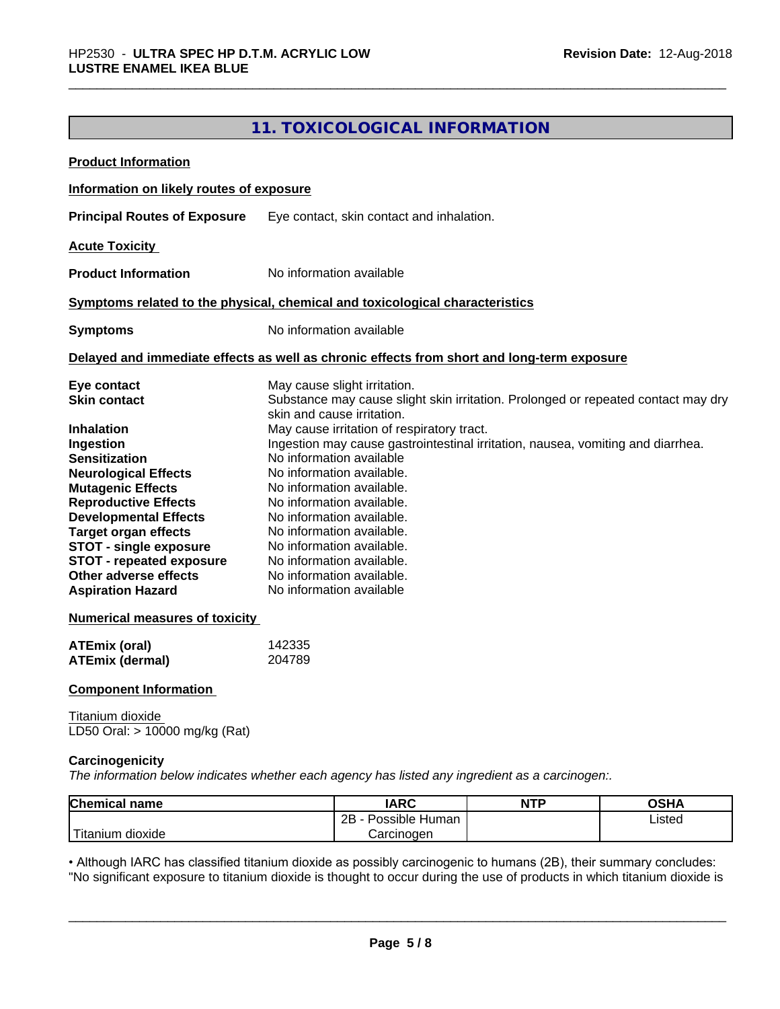# **11. TOXICOLOGICAL INFORMATION**

| <b>Product Information</b>                         |                                                                                                                 |
|----------------------------------------------------|-----------------------------------------------------------------------------------------------------------------|
| Information on likely routes of exposure           |                                                                                                                 |
| <b>Principal Routes of Exposure</b>                | Eye contact, skin contact and inhalation.                                                                       |
| <b>Acute Toxicity</b>                              |                                                                                                                 |
| <b>Product Information</b>                         | No information available                                                                                        |
|                                                    | Symptoms related to the physical, chemical and toxicological characteristics                                    |
| <b>Symptoms</b>                                    | No information available                                                                                        |
|                                                    | Delayed and immediate effects as well as chronic effects from short and long-term exposure                      |
| Eye contact                                        | May cause slight irritation.                                                                                    |
| <b>Skin contact</b>                                | Substance may cause slight skin irritation. Prolonged or repeated contact may dry<br>skin and cause irritation. |
| <b>Inhalation</b>                                  | May cause irritation of respiratory tract.                                                                      |
| Ingestion                                          | Ingestion may cause gastrointestinal irritation, nausea, vomiting and diarrhea.                                 |
| <b>Sensitization</b>                               | No information available                                                                                        |
| <b>Neurological Effects</b>                        | No information available.                                                                                       |
| <b>Mutagenic Effects</b>                           | No information available.                                                                                       |
| <b>Reproductive Effects</b>                        | No information available.                                                                                       |
| <b>Developmental Effects</b>                       | No information available.                                                                                       |
| <b>Target organ effects</b>                        | No information available.                                                                                       |
| <b>STOT - single exposure</b>                      | No information available.                                                                                       |
| <b>STOT - repeated exposure</b>                    | No information available.                                                                                       |
| Other adverse effects                              | No information available.                                                                                       |
| <b>Aspiration Hazard</b>                           | No information available                                                                                        |
| <b>Numerical measures of toxicity</b>              |                                                                                                                 |
| <b>ATEmix (oral)</b>                               | 142335                                                                                                          |
| <b>ATEmix (dermal)</b>                             | 204789                                                                                                          |
| <b>Component Information</b>                       |                                                                                                                 |
| Titanium dioxide<br>LD50 Oral: > 10000 mg/kg (Rat) |                                                                                                                 |
|                                                    |                                                                                                                 |

# **Carcinogenicity**

*The information below indicateswhether each agency has listed any ingredient as a carcinogen:.*

| <b>Chemical name</b>          | <b>IARC</b>          | <b>NTP</b> | <b>OSHA</b>    |
|-------------------------------|----------------------|------------|----------------|
|                               | 2B<br>Possible Human |            | Listed<br>____ |
| .<br>n dioxide.<br>. Titanıum | Carcinogen           |            |                |

• Although IARC has classified titanium dioxide as possibly carcinogenic to humans (2B), their summary concludes:<br>"No significant exposure to titanium dioxide is thought to occur during the use of products in which titaniu "No significant exposure to titanium dioxide is thought to occur during the use of products in which titanium dioxide is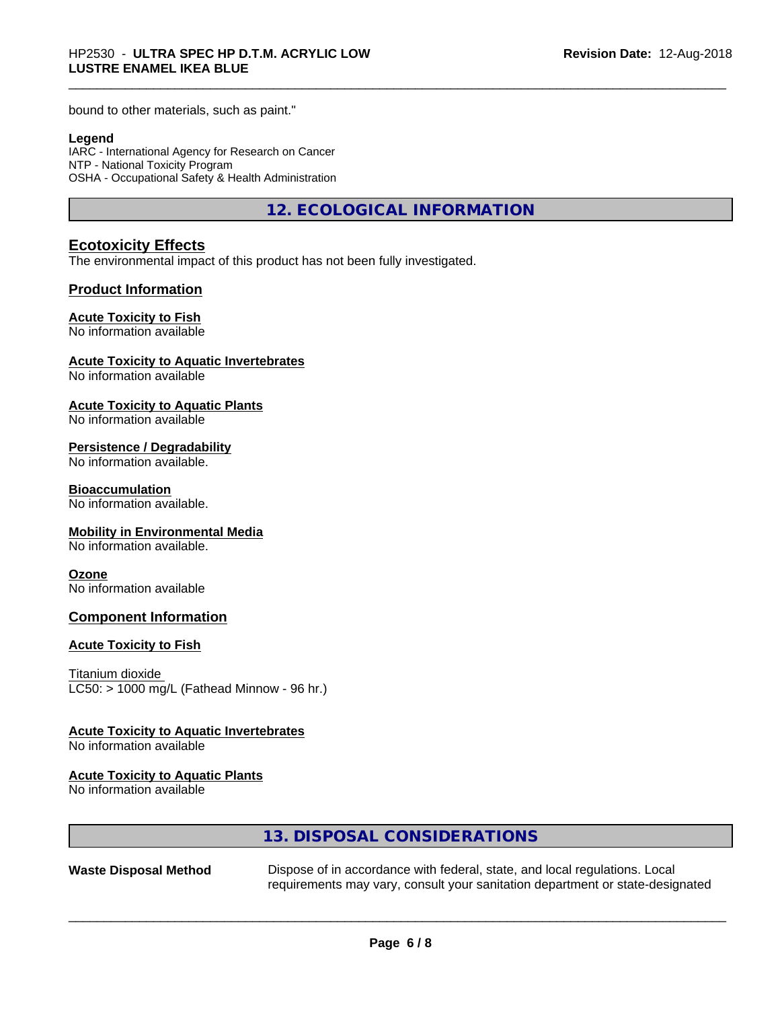bound to other materials, such as paint."

#### **Legend**

IARC - International Agency for Research on Cancer NTP - National Toxicity Program OSHA - Occupational Safety & Health Administration

**12. ECOLOGICAL INFORMATION**

## **Ecotoxicity Effects**

The environmental impact of this product has not been fully investigated.

### **Product Information**

#### **Acute Toxicity to Fish**

No information available

#### **Acute Toxicity to Aquatic Invertebrates**

No information available

#### **Acute Toxicity to Aquatic Plants**

No information available

#### **Persistence / Degradability**

No information available.

#### **Bioaccumulation**

No information available.

#### **Mobility in Environmental Media**

No information available.

#### **Ozone**

No information available

#### **Component Information**

#### **Acute Toxicity to Fish**

Titanium dioxide  $LC50:$  > 1000 mg/L (Fathead Minnow - 96 hr.)

#### **Acute Toxicity to Aquatic Invertebrates**

No information available

### **Acute Toxicity to Aquatic Plants**

No information available

# **13. DISPOSAL CONSIDERATIONS**

**Waste Disposal Method** Dispose of in accordance with federal, state, and local regulations. Local requirements may vary, consult your sanitation department or state-designated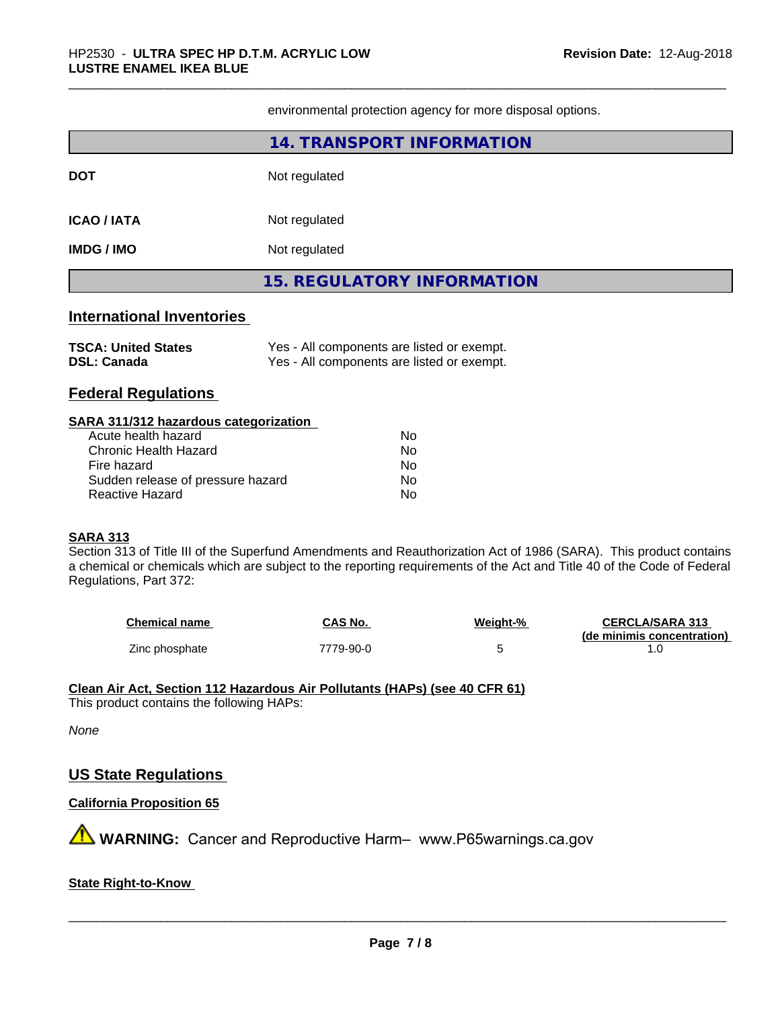environmental protection agency for more disposal options.

|                                                                                                                                                                 | 14. TRANSPORT INFORMATION                                                                |  |  |
|-----------------------------------------------------------------------------------------------------------------------------------------------------------------|------------------------------------------------------------------------------------------|--|--|
| <b>DOT</b>                                                                                                                                                      | Not regulated                                                                            |  |  |
| <b>ICAO/IATA</b>                                                                                                                                                | Not regulated                                                                            |  |  |
| <b>IMDG / IMO</b>                                                                                                                                               | Not regulated                                                                            |  |  |
|                                                                                                                                                                 | <b>15. REGULATORY INFORMATION</b>                                                        |  |  |
| <b>International Inventories</b>                                                                                                                                |                                                                                          |  |  |
| <b>TSCA: United States</b><br><b>DSL: Canada</b>                                                                                                                | Yes - All components are listed or exempt.<br>Yes - All components are listed or exempt. |  |  |
| <b>Federal Regulations</b>                                                                                                                                      |                                                                                          |  |  |
| SARA 311/312 hazardous categorization                                                                                                                           |                                                                                          |  |  |
| Acute health hazard<br>No<br><b>Chronic Health Hazard</b><br>No<br>Fire hazard<br>No<br>Sudden release of pressure hazard<br><b>No</b><br>Reactive Hazard<br>No |                                                                                          |  |  |

Regulations, Part 372:

| <b>Chemical name</b> | CAS No.   | Weight-% | <b>CERCLA/SARA 313</b>     |
|----------------------|-----------|----------|----------------------------|
|                      |           |          | (de minimis concentration) |
| Zinc phosphate       | 7779-90-0 |          |                            |

**Clean Air Act,Section 112 Hazardous Air Pollutants (HAPs) (see 40 CFR 61)**

This product contains the following HAPs:

### *None*

# **US State Regulations**

# **California Proposition 65**

**A WARNING:** Cancer and Reproductive Harm– www.P65warnings.ca.gov

# **State Right-to-Know**